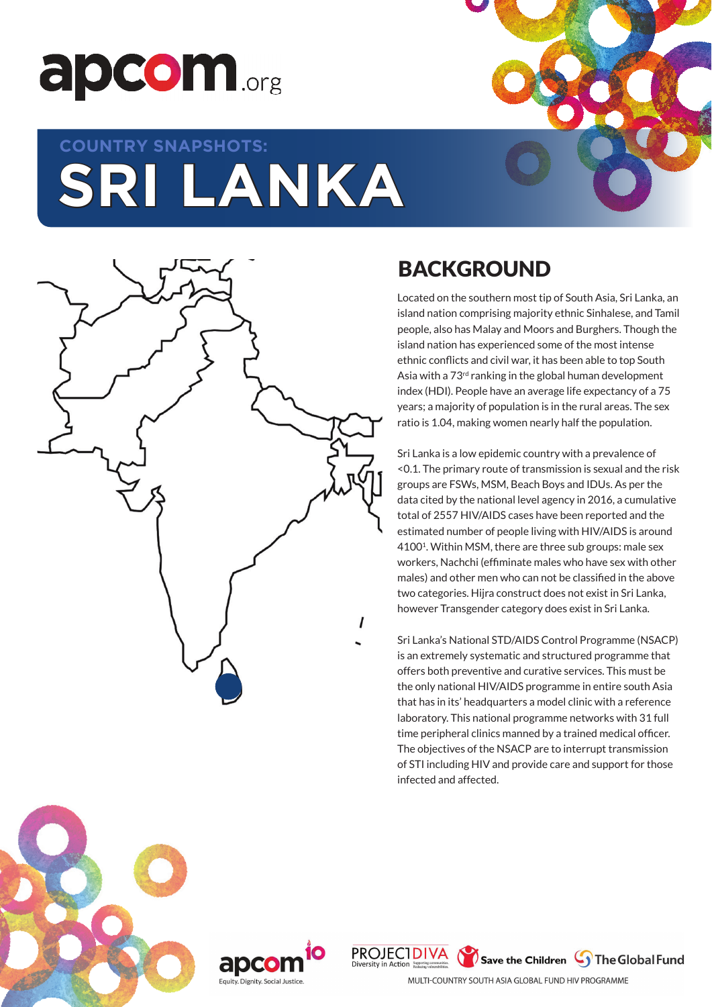

# **SRI LANKA COUNTRY SNAPSHOTS:**



## BACKGROUND

Located on the southern most tip of South Asia, Sri Lanka, an island nation comprising majority ethnic Sinhalese, and Tamil people, also has Malay and Moors and Burghers. Though the island nation has experienced some of the most intense ethnic conflicts and civil war, it has been able to top South Asia with a 73<sup>rd</sup> ranking in the global human development index (HDI). People have an average life expectancy of a 75 years; a majority of population is in the rural areas. The sex ratio is 1.04, making women nearly half the population.

Sri Lanka is a low epidemic country with a prevalence of <0.1. The primary route of transmission is sexual and the risk groups are FSWs, MSM, Beach Boys and IDUs. As per the data cited by the national level agency in 2016, a cumulative total of 2557 HIV/AIDS cases have been reported and the estimated number of people living with HIV/AIDS is around 41001. Within MSM, there are three sub groups: male sex workers, Nachchi (effiminate males who have sex with other males) and other men who can not be classified in the above two categories. Hijra construct does not exist in Sri Lanka, however Transgender category does exist in Sri Lanka.

Sri Lanka's National STD/AIDS Control Programme (NSACP) is an extremely systematic and structured programme that offers both preventive and curative services. This must be the only national HIV/AIDS programme in entire south Asia that has in its' headquarters a model clinic with a reference laboratory. This national programme networks with 31 full time peripheral clinics manned by a trained medical officer. The objectives of the NSACP are to interrupt transmission of STI including HIV and provide care and support for those infected and affected.







MULTI-COUNTRY SOUTH ASIA GLOBAL FUND HIV PROGRAMME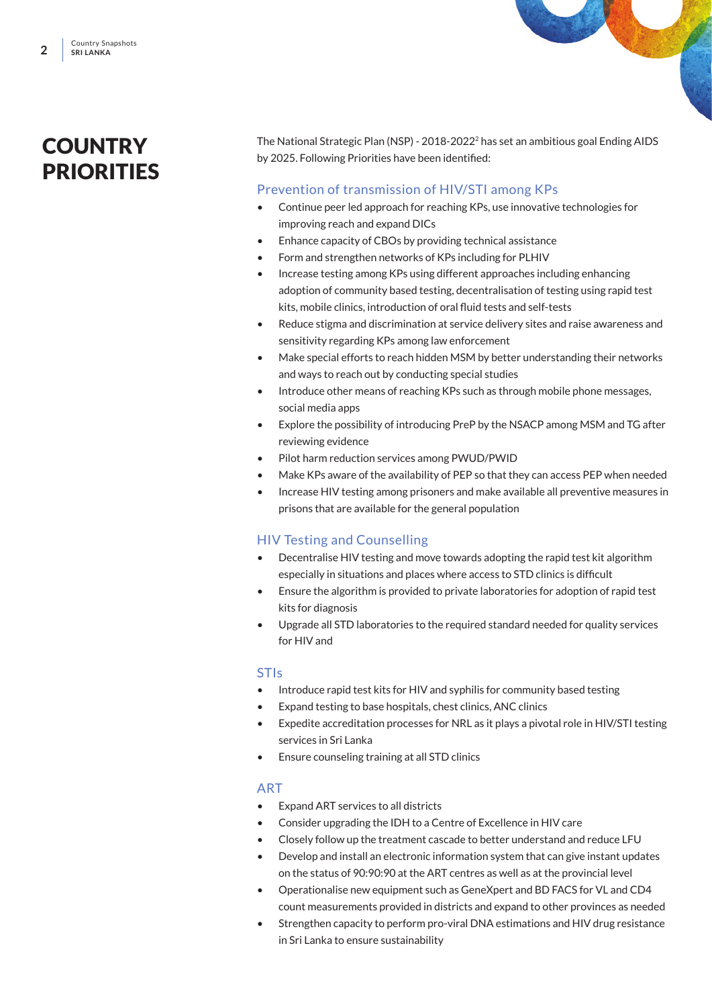### **COUNTRY PRIORITIES**

The National Strategic Plan (NSP) - 2018-2022<sup>2</sup> has set an ambitious goal Ending AIDS by 2025. Following Priorities have been identified:

#### Prevention of transmission of HIV/STI among KPs

- Continue peer led approach for reaching KPs, use innovative technologies for improving reach and expand DICs
- Enhance capacity of CBOs by providing technical assistance
- Form and strengthen networks of KPs including for PLHIV
- Increase testing among KPs using different approaches including enhancing adoption of community based testing, decentralisation of testing using rapid test kits, mobile clinics, introduction of oral fluid tests and self-tests
- Reduce stigma and discrimination at service delivery sites and raise awareness and sensitivity regarding KPs among law enforcement
- Make special efforts to reach hidden MSM by better understanding their networks and ways to reach out by conducting special studies
- Introduce other means of reaching KPs such as through mobile phone messages, social media apps
- Explore the possibility of introducing PreP by the NSACP among MSM and TG after reviewing evidence
- Pilot harm reduction services among PWUD/PWID
- Make KPs aware of the availability of PEP so that they can access PEP when needed
- Increase HIV testing among prisoners and make available all preventive measures in prisons that are available for the general population

#### HIV Testing and Counselling

- Decentralise HIV testing and move towards adopting the rapid test kit algorithm especially in situations and places where access to STD clinics is difficult
- Ensure the algorithm is provided to private laboratories for adoption of rapid test kits for diagnosis
- Upgrade all STD laboratories to the required standard needed for quality services for HIV and

#### **STIs**

- Introduce rapid test kits for HIV and syphilis for community based testing
- Expand testing to base hospitals, chest clinics, ANC clinics
- Expedite accreditation processes for NRL as it plays a pivotal role in HIV/STI testing services in Sri Lanka
- Ensure counseling training at all STD clinics

#### ART

- Expand ART services to all districts
- Consider upgrading the IDH to a Centre of Excellence in HIV care
- Closely follow up the treatment cascade to better understand and reduce LFU
- Develop and install an electronic information system that can give instant updates on the status of 90:90:90 at the ART centres as well as at the provincial level
- Operationalise new equipment such as GeneXpert and BD FACS for VL and CD4 count measurements provided in districts and expand to other provinces as needed
- Strengthen capacity to perform pro-viral DNA estimations and HIV drug resistance in Sri Lanka to ensure sustainability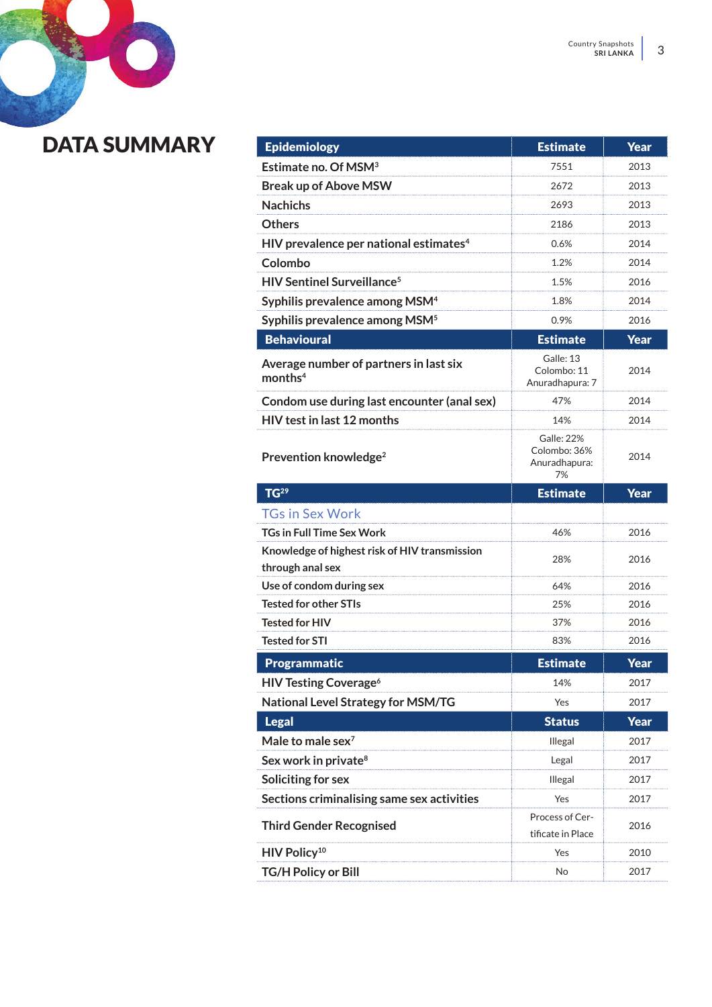# DATA SUMMARY

| <b>Epidemiology</b>                                               | <b>Estimate</b>                                   | <b>Year</b> |
|-------------------------------------------------------------------|---------------------------------------------------|-------------|
| Estimate no. Of MSM <sup>3</sup>                                  | 7551                                              | 2013        |
| <b>Break up of Above MSW</b>                                      | 2672                                              | 2013        |
| <b>Nachichs</b>                                                   | 2693                                              | 2013        |
| <b>Others</b>                                                     | 2186                                              | 2013        |
| HIV prevalence per national estimates <sup>4</sup>                | 0.6%                                              | 2014        |
| Colombo                                                           | 1.2%                                              | 2014        |
| <b>HIV Sentinel Surveillance<sup>5</sup></b>                      | 1.5%                                              | 2016        |
| Syphilis prevalence among MSM <sup>4</sup>                        | 1.8%                                              | 2014        |
| Syphilis prevalence among MSM <sup>5</sup>                        | 0.9%                                              | 2016        |
| <b>Behavioural</b>                                                | <b>Estimate</b>                                   | <b>Year</b> |
| Average number of partners in last six<br>months <sup>4</sup>     | Galle: 13<br>Colombo: 11<br>Anuradhapura: 7       | 2014        |
| Condom use during last encounter (anal sex)                       | 47%                                               | 2014        |
| <b>HIV</b> test in last 12 months                                 | 14%                                               | 2014        |
| Prevention knowledge <sup>2</sup>                                 | Galle: 22%<br>Colombo: 36%<br>Anuradhapura:<br>7% | 2014        |
| TG <sup>29</sup>                                                  | <b>Estimate</b>                                   | Year        |
|                                                                   |                                                   |             |
| <b>TGs in Sex Work</b>                                            |                                                   |             |
| <b>TGs in Full Time Sex Work</b>                                  | 46%                                               | 2016        |
| Knowledge of highest risk of HIV transmission<br>through anal sex | 28%                                               | 2016        |
| Use of condom during sex                                          | 64%                                               | 2016        |
| <b>Tested for other STIs</b>                                      | 25%                                               | 2016        |
| <b>Tested for HIV</b>                                             | 37%                                               | 2016        |
| <b>Tested for STI</b>                                             | 83%                                               | 2016        |
| <b>Programmatic</b>                                               | <b>Estimate</b>                                   | Year        |
| <b>HIV Testing Coverage<sup>6</sup></b>                           | 14%                                               | 2017        |
| National Level Strategy for MSM/TG                                | Yes                                               | 2017        |
| <b>Legal</b>                                                      | <b>Status</b>                                     | Year        |
| Male to male sex <sup>7</sup>                                     | Illegal                                           | 2017        |
| Sex work in private <sup>8</sup>                                  | Legal                                             | 2017        |
| Soliciting for sex                                                | Illegal                                           | 2017        |
| Sections criminalising same sex activities                        | Yes                                               | 2017        |
| <b>Third Gender Recognised</b>                                    | Process of Cer-<br>tificate in Place              | 2016        |
| HIV Policy <sup>10</sup>                                          | Yes                                               | 2010        |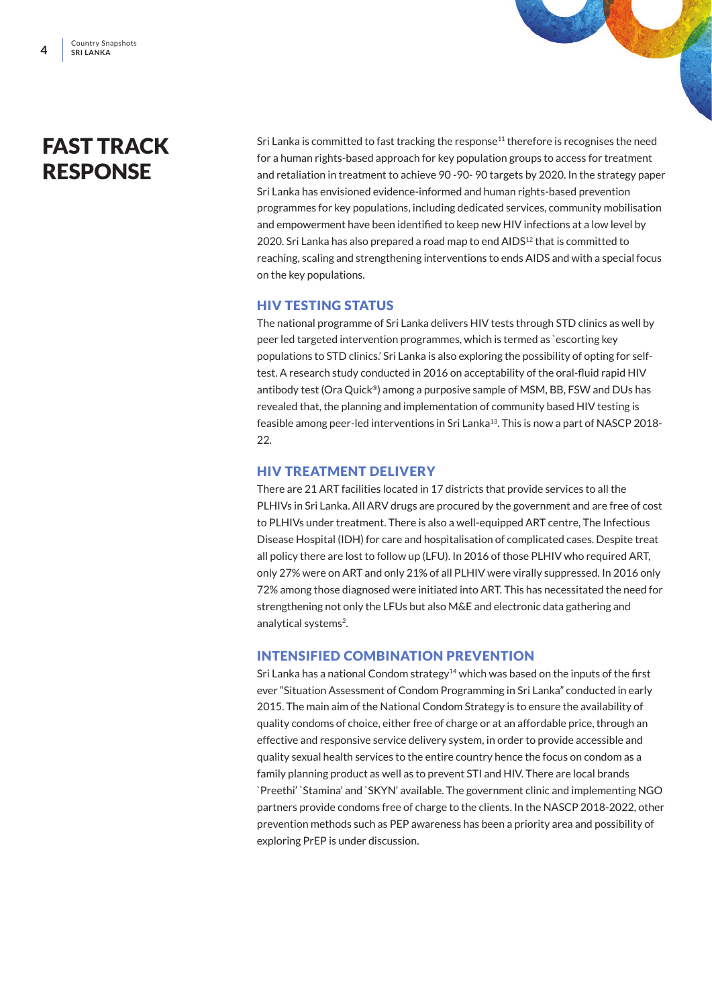### FAST TRACK **RESPONSE**

Sri Lanka is committed to fast tracking the response<sup>11</sup> therefore is recognises the need for a human rights-based approach for key population groups to access for treatment and retaliation in treatment to achieve 90 -90- 90 targets by 2020. In the strategy paper Sri Lanka has envisioned evidence-informed and human rights-based prevention programmes for key populations, including dedicated services, community mobilisation and empowerment have been identified to keep new HIV infections at a low level by 2020. Sri Lanka has also prepared a road map to end AIDS<sup>12</sup> that is committed to reaching, scaling and strengthening interventions to ends AIDS and with a special focus on the key populations.

#### HIV TESTING STATUS

The national programme of Sri Lanka delivers HIV tests through STD clinics as well by peer led targeted intervention programmes, which is termed as `escorting key populations to STD clinics.' Sri Lanka is also exploring the possibility of opting for selftest. A research study conducted in 2016 on acceptability of the oral-fluid rapid HIV antibody test (Ora Quick®) among a purposive sample of MSM, BB, FSW and DUs has revealed that, the planning and implementation of community based HIV testing is feasible among peer-led interventions in Sri Lanka<sup>13</sup>. This is now a part of NASCP 2018- $22.2$ 

#### HIV TREATMENT DELIVERY

There are 21 ART facilities located in 17 districts that provide services to all the PLHIVs in Sri Lanka. All ARV drugs are procured by the government and are free of cost to PLHIVs under treatment. There is also a well-equipped ART centre, The Infectious Disease Hospital (IDH) for care and hospitalisation of complicated cases. Despite treat all policy there are lost to follow up (LFU). In 2016 of those PLHIV who required ART, only 27% were on ART and only 21% of all PLHIV were virally suppressed. In 2016 only 72% among those diagnosed were initiated into ART. This has necessitated the need for strengthening not only the LFUs but also M&E and electronic data gathering and analytical systems<sup>2</sup>.

#### INTENSIFIED COMBINATION PREVENTION

Sri Lanka has a national Condom strategy<sup>14</sup> which was based on the inputs of the first ever "Situation Assessment of Condom Programming in Sri Lanka" conducted in early 2015. The main aim of the National Condom Strategy is to ensure the availability of quality condoms of choice, either free of charge or at an affordable price, through an effective and responsive service delivery system, in order to provide accessible and quality sexual health services to the entire country hence the focus on condom as a family planning product as well as to prevent STI and HIV. There are local brands `Preethi' `Stamina' and `SKYN' available. The government clinic and implementing NGO partners provide condoms free of charge to the clients. In the NASCP 2018-2022, other prevention methods such as PEP awareness has been a priority area and possibility of exploring PrEP is under discussion.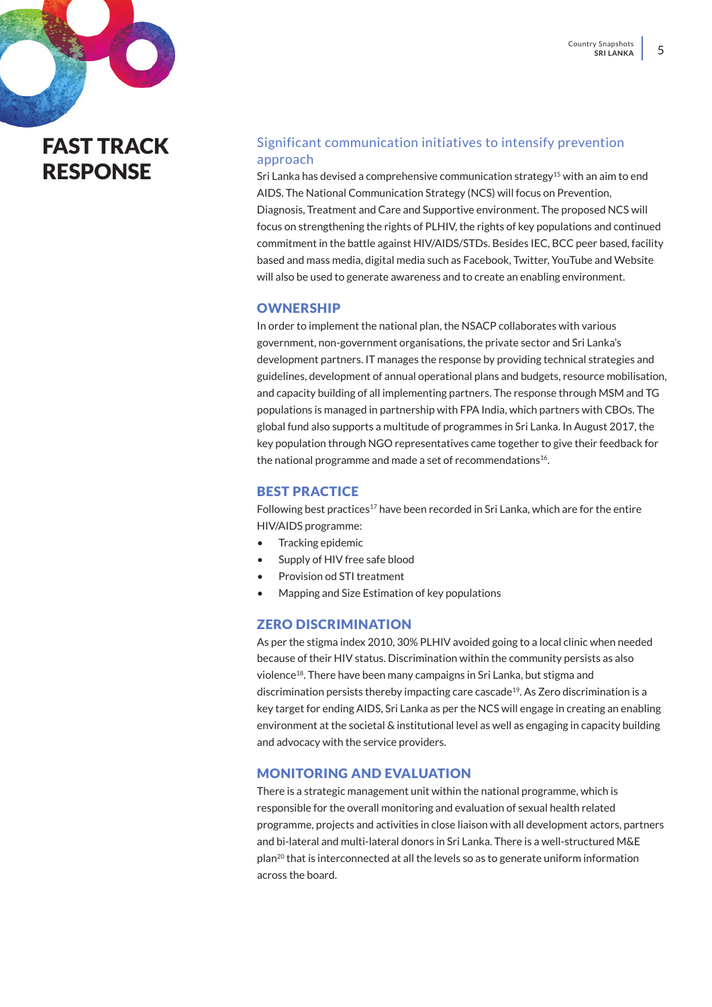### FAST TRACK **RESPONSE**

#### Significant communication initiatives to intensify prevention approach

Sri Lanka has devised a comprehensive communication strategy<sup>15</sup> with an aim to end AIDS. The National Communication Strategy (NCS) will focus on Prevention, Diagnosis, Treatment and Care and Supportive environment. The proposed NCS will focus on strengthening the rights of PLHIV, the rights of key populations and continued commitment in the battle against HIV/AIDS/STDs. Besides IEC, BCC peer based, facility based and mass media, digital media such as Facebook, Twitter, YouTube and Website will also be used to generate awareness and to create an enabling environment.

#### **OWNERSHIP**

In order to implement the national plan, the NSACP collaborates with various government, non-government organisations, the private sector and Sri Lanka's development partners. IT manages the response by providing technical strategies and guidelines, development of annual operational plans and budgets, resource mobilisation, and capacity building of all implementing partners. The response through MSM and TG populations is managed in partnership with FPA India, which partners with CBOs. The global fund also supports a multitude of programmes in Sri Lanka. In August 2017, the key population through NGO representatives came together to give their feedback for the national programme and made a set of recommendations<sup>16</sup>.

#### BEST PRACTICE

Following best practices<sup>17</sup> have been recorded in Sri Lanka, which are for the entire HIV/AIDS programme:

- Tracking epidemic
- Supply of HIV free safe blood
- Provision od STI treatment
- Mapping and Size Estimation of key populations

#### ZERO DISCRIMINATION

As per the stigma index 2010, 30% PLHIV avoided going to a local clinic when needed because of their HIV status. Discrimination within the community persists as also violence18. There have been many campaigns in Sri Lanka, but stigma and discrimination persists thereby impacting care cascade<sup>19</sup>. As Zero discrimination is a key target for ending AIDS, Sri Lanka as per the NCS will engage in creating an enabling environment at the societal & institutional level as well as engaging in capacity building and advocacy with the service providers.

#### MONITORING AND EVALUATION

There is a strategic management unit within the national programme, which is responsible for the overall monitoring and evaluation of sexual health related programme, projects and activities in close liaison with all development actors, partners and bi-lateral and multi-lateral donors in Sri Lanka. There is a well-structured M&E plan20 that is interconnected at all the levels so as to generate uniform information across the board.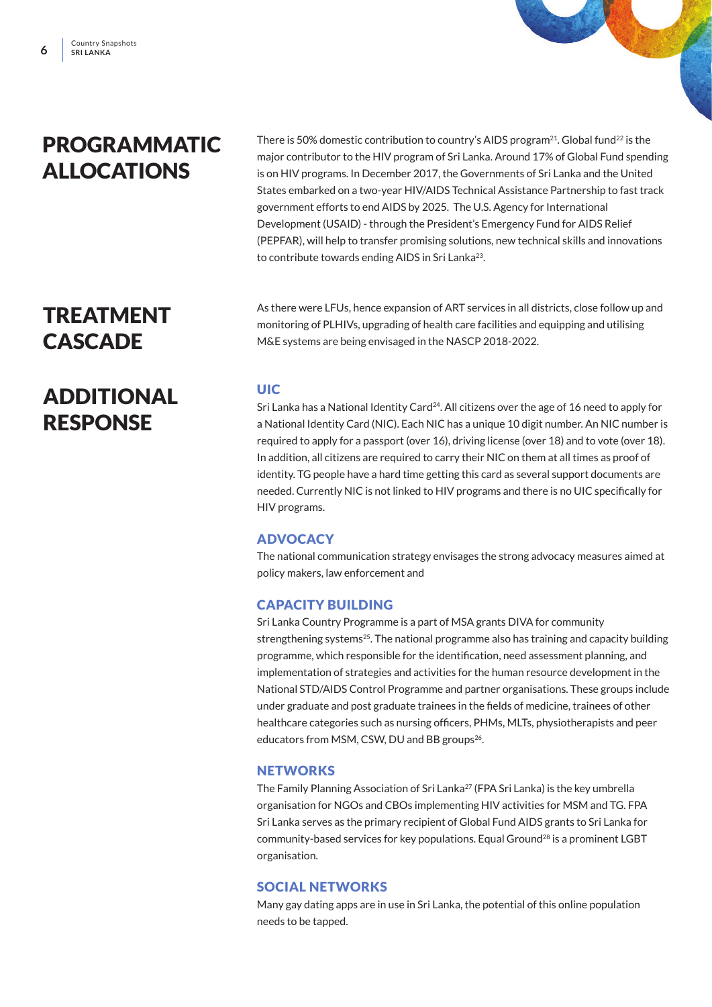### PROGRAMMATIC ALLOCATIONS

There is 50% domestic contribution to country's AIDS program<sup>21</sup>. Global fund<sup>22</sup> is the major contributor to the HIV program of Sri Lanka. Around 17% of Global Fund spending is on HIV programs. In December 2017, the Governments of Sri Lanka and the United States embarked on a two-year HIV/AIDS Technical Assistance Partnership to fast track government efforts to end AIDS by 2025. The U.S. Agency for International Development (USAID) - through the President's Emergency Fund for AIDS Relief (PEPFAR), will help to transfer promising solutions, new technical skills and innovations to contribute towards ending AIDS in Sri Lanka<sup>23</sup>.

As there were LFUs, hence expansion of ART services in all districts, close follow up and monitoring of PLHIVs, upgrading of health care facilities and equipping and utilising M&E systems are being envisaged in the NASCP 2018-2022.

#### UIC

Sri Lanka has a National Identity Card<sup>24</sup>. All citizens over the age of 16 need to apply for a National Identity Card (NIC). Each NIC has a unique 10 digit number. An NIC number is required to apply for a passport (over 16), driving license (over 18) and to vote (over 18). In addition, all citizens are required to carry their NIC on them at all times as proof of identity. TG people have a hard time getting this card as several support documents are needed. Currently NIC is not linked to HIV programs and there is no UIC specifically for HIV programs.

#### **ADVOCACY**

The national communication strategy envisages the strong advocacy measures aimed at policy makers, law enforcement and

#### CAPACITY BUILDING

Sri Lanka Country Programme is a part of MSA grants DIVA for community strengthening systems<sup>25</sup>. The national programme also has training and capacity building programme, which responsible for the identification, need assessment planning, and implementation of strategies and activities for the human resource development in the National STD/AIDS Control Programme and partner organisations. These groups include under graduate and post graduate trainees in the fields of medicine, trainees of other healthcare categories such as nursing officers, PHMs, MLTs, physiotherapists and peer educators from MSM, CSW, DU and BB groups<sup>26</sup>.

#### **NETWORKS**

The Family Planning Association of Sri Lanka<sup>27</sup> (FPA Sri Lanka) is the key umbrella organisation for NGOs and CBOs implementing HIV activities for MSM and TG. FPA Sri Lanka serves as the primary recipient of Global Fund AIDS grants to Sri Lanka for community-based services for key populations. Equal Ground28 is a prominent LGBT organisation.

#### SOCIAL NETWORKS

Many gay dating apps are in use in Sri Lanka, the potential of this online population needs to be tapped.

### TREATMENT **CASCADE**

### ADDITIONAL RESPONSE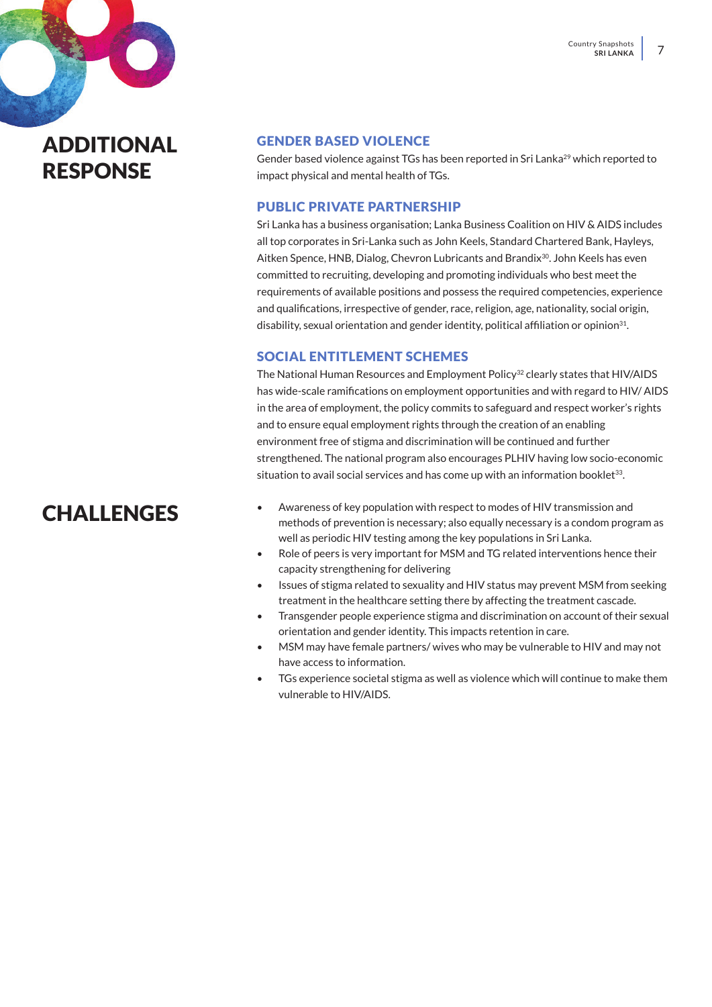ADDITIONAL RESPONSE

#### GENDER BASED VIOLENCE

Gender based violence against TGs has been reported in Sri Lanka<sup>29</sup> which reported to impact physical and mental health of TGs.

#### PUBLIC PRIVATE PARTNERSHIP

Sri Lanka has a business organisation; Lanka Business Coalition on HIV & AIDS includes all top corporates in Sri-Lanka such as John Keels, Standard Chartered Bank, Hayleys, Aitken Spence, HNB, Dialog, Chevron Lubricants and Brandix<sup>30</sup>, John Keels has even committed to recruiting, developing and promoting individuals who best meet the requirements of available positions and possess the required competencies, experience and qualifications, irrespective of gender, race, religion, age, nationality, social origin, disability, sexual orientation and gender identity, political affiliation or opinion<sup>31</sup>.

#### SOCIAL ENTITLEMENT SCHEMES

The National Human Resources and Employment Policy<sup>32</sup> clearly states that HIV/AIDS has wide-scale ramifications on employment opportunities and with regard to HIV/ AIDS in the area of employment, the policy commits to safeguard and respect worker's rights and to ensure equal employment rights through the creation of an enabling environment free of stigma and discrimination will be continued and further strengthened. The national program also encourages PLHIV having low socio-economic situation to avail social services and has come up with an information booklet $33$ .

### CHALLENGES

- Awareness of key population with respect to modes of HIV transmission and methods of prevention is necessary; also equally necessary is a condom program as well as periodic HIV testing among the key populations in Sri Lanka.
- Role of peers is very important for MSM and TG related interventions hence their capacity strengthening for delivering
- Issues of stigma related to sexuality and HIV status may prevent MSM from seeking treatment in the healthcare setting there by affecting the treatment cascade.
- Transgender people experience stigma and discrimination on account of their sexual orientation and gender identity. This impacts retention in care.
- MSM may have female partners/ wives who may be vulnerable to HIV and may not have access to information.
- TGs experience societal stigma as well as violence which will continue to make them vulnerable to HIV/AIDS.